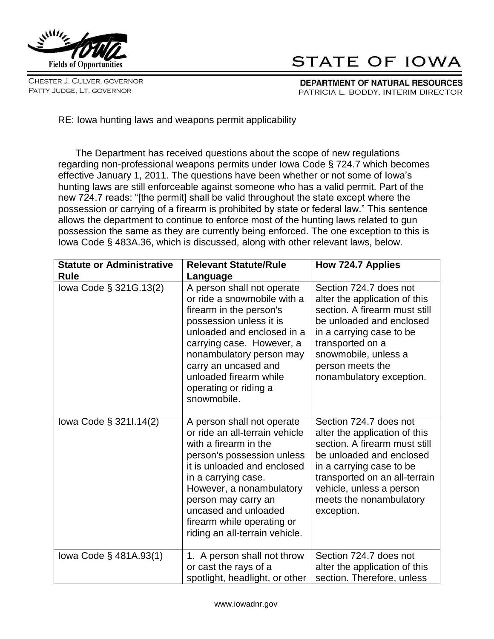

CHESTER J. CULVER, GOVERNOR PATTY JUDGE, LT. GOVERNOR

## STATE OF IOWA

DEPARTMENT OF NATURAL RESOURCES PATRICIA L. BODDY, INTERIM DIRECTOR

RE: Iowa hunting laws and weapons permit applicability

The Department has received questions about the scope of new regulations regarding non-professional weapons permits under Iowa Code § 724.7 which becomes effective January 1, 2011. The questions have been whether or not some of Iowa's hunting laws are still enforceable against someone who has a valid permit. Part of the new 724.7 reads: "[the permit] shall be valid throughout the state except where the possession or carrying of a firearm is prohibited by state or federal law." This sentence allows the department to continue to enforce most of the hunting laws related to gun possession the same as they are currently being enforced. The one exception to this is Iowa Code § 483A.36, which is discussed, along with other relevant laws, below.

| <b>Statute or Administrative</b><br><b>Rule</b> | <b>Relevant Statute/Rule</b><br>Language                                                                                                                                                                                                                                                                             | How 724.7 Applies                                                                                                                                                                                                                                      |
|-------------------------------------------------|----------------------------------------------------------------------------------------------------------------------------------------------------------------------------------------------------------------------------------------------------------------------------------------------------------------------|--------------------------------------------------------------------------------------------------------------------------------------------------------------------------------------------------------------------------------------------------------|
| lowa Code § 321G.13(2)                          | A person shall not operate<br>or ride a snowmobile with a<br>firearm in the person's<br>possession unless it is<br>unloaded and enclosed in a<br>carrying case. However, a<br>nonambulatory person may<br>carry an uncased and<br>unloaded firearm while<br>operating or riding a<br>snowmobile.                     | Section 724.7 does not<br>alter the application of this<br>section. A firearm must still<br>be unloaded and enclosed<br>in a carrying case to be<br>transported on a<br>snowmobile, unless a<br>person meets the<br>nonambulatory exception.           |
| lowa Code § 3211.14(2)                          | A person shall not operate<br>or ride an all-terrain vehicle<br>with a firearm in the<br>person's possession unless<br>it is unloaded and enclosed<br>in a carrying case.<br>However, a nonambulatory<br>person may carry an<br>uncased and unloaded<br>firearm while operating or<br>riding an all-terrain vehicle. | Section 724.7 does not<br>alter the application of this<br>section. A firearm must still<br>be unloaded and enclosed<br>in a carrying case to be<br>transported on an all-terrain<br>vehicle, unless a person<br>meets the nonambulatory<br>exception. |
| lowa Code § 481A.93(1)                          | 1. A person shall not throw<br>or cast the rays of a<br>spotlight, headlight, or other                                                                                                                                                                                                                               | Section 724.7 does not<br>alter the application of this<br>section. Therefore, unless                                                                                                                                                                  |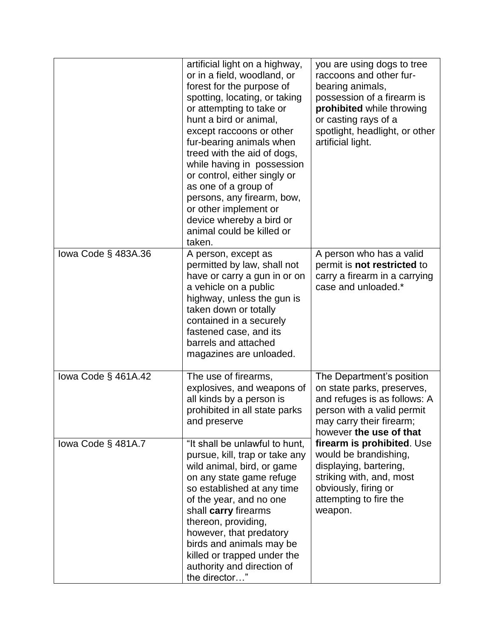|                     | artificial light on a highway,<br>or in a field, woodland, or<br>forest for the purpose of<br>spotting, locating, or taking<br>or attempting to take or<br>hunt a bird or animal,<br>except raccoons or other<br>fur-bearing animals when<br>treed with the aid of dogs,<br>while having in possession<br>or control, either singly or<br>as one of a group of<br>persons, any firearm, bow,<br>or other implement or<br>device whereby a bird or<br>animal could be killed or<br>taken. | you are using dogs to tree<br>raccoons and other fur-<br>bearing animals,<br>possession of a firearm is<br>prohibited while throwing<br>or casting rays of a<br>spotlight, headlight, or other<br>artificial light. |
|---------------------|------------------------------------------------------------------------------------------------------------------------------------------------------------------------------------------------------------------------------------------------------------------------------------------------------------------------------------------------------------------------------------------------------------------------------------------------------------------------------------------|---------------------------------------------------------------------------------------------------------------------------------------------------------------------------------------------------------------------|
| lowa Code § 483A.36 | A person, except as<br>permitted by law, shall not<br>have or carry a gun in or on<br>a vehicle on a public<br>highway, unless the gun is<br>taken down or totally<br>contained in a securely<br>fastened case, and its<br>barrels and attached<br>magazines are unloaded.                                                                                                                                                                                                               | A person who has a valid<br>permit is not restricted to<br>carry a firearm in a carrying<br>case and unloaded.*                                                                                                     |
| lowa Code § 461A.42 | The use of firearms,<br>explosives, and weapons of<br>all kinds by a person is<br>prohibited in all state parks<br>and preserve                                                                                                                                                                                                                                                                                                                                                          | The Department's position<br>on state parks, preserves,<br>and refuges is as follows: A<br>person with a valid permit<br>may carry their firearm;<br>however the use of that                                        |
| lowa Code § 481A.7  | "It shall be unlawful to hunt,<br>pursue, kill, trap or take any<br>wild animal, bird, or game<br>on any state game refuge<br>so established at any time<br>of the year, and no one<br>shall carry firearms<br>thereon, providing,<br>however, that predatory<br>birds and animals may be<br>killed or trapped under the<br>authority and direction of<br>the director"                                                                                                                  | firearm is prohibited. Use<br>would be brandishing,<br>displaying, bartering,<br>striking with, and, most<br>obviously, firing or<br>attempting to fire the<br>weapon.                                              |